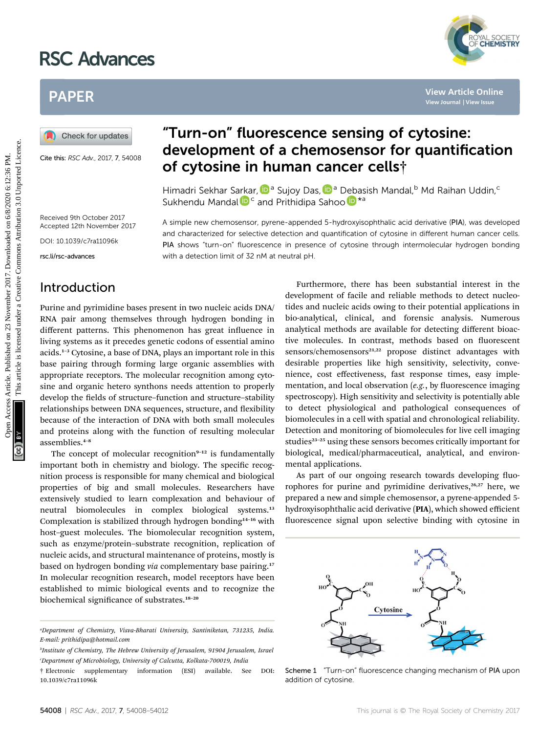# RSC Advances



# PAPER

Cite this: RSC Adv., 2017, 7, 54008

# "Turn-on" fluorescence sensing of cytosine: development of a chemosensor for quantification of cytosine in human cancer cells†

Himadri Sekhar S[arka](http://orcid.org/0000-0002-7752-0982)r, D<sup>a</sup> Sujoy Das, D<sup>a</sup> Debasish Mandal, Md Raihan Uddin, <sup>c</sup> Sukhendu Mandal <sup>D<sub>c</sub></sup> and Prithidipa Sah[o](http://orcid.org/0000-0001-8493-7068)o D<sup>\*a</sup>

with a detection limit of 32 nM at neutral pH.

A simple new chemosensor, pyrene-appended 5-hydroxyisophthalic acid derivative (PIA), was developed and characterized for selective detection and quantification of cytosine in different human cancer cells. PIA shows "turn-on" fluorescence in presence of cytosine through intermolecular hydrogen bonding

Received 9th October 2017 Accepted 12th November 2017

DOI: 10.1039/c7ra11096k

rsc.li/rsc-advances

#### Introduction

Purine and pyrimidine bases present in two nucleic acids DNA/ RNA pair among themselves through hydrogen bonding in different patterns. This phenomenon has great influence in living systems as it precedes genetic codons of essential amino acids.<sup>1</sup>–<sup>3</sup> Cytosine, a base of DNA, plays an important role in this base pairing through forming large organic assemblies with appropriate receptors. The molecular recognition among cytosine and organic hetero synthons needs attention to properly develop the fields of structure–function and structure–stability relationships between DNA sequences, structure, and flexibility because of the interaction of DNA with both small molecules and proteins along with the function of resulting molecular assemblies.<sup>4</sup>–<sup>8</sup>

The concept of molecular recognition $9-12$  is fundamentally important both in chemistry and biology. The specific recognition process is responsible for many chemical and biological properties of big and small molecules. Researchers have extensively studied to learn complexation and behaviour of neutral biomolecules in complex biological systems.<sup>13</sup> Complexation is stabilized through hydrogen bonding<sup>14-16</sup> with host–guest molecules. The biomolecular recognition system, such as enzyme/protein–substrate recognition, replication of nucleic acids, and structural maintenance of proteins, mostly is based on hydrogen bonding *via* complementary base pairing.<sup>17</sup> In molecular recognition research, model receptors have been established to mimic biological events and to recognize the biochemical significance of substrates.<sup>18-20</sup>

Furthermore, there has been substantial interest in the development of facile and reliable methods to detect nucleotides and nucleic acids owing to their potential applications in bio-analytical, clinical, and forensic analysis. Numerous analytical methods are available for detecting different bioactive molecules. In contrast, methods based on fluorescent sensors/chemosensors<sup>21,22</sup> propose distinct advantages with desirable properties like high sensitivity, selectivity, convenience, cost effectiveness, fast response times, easy implementation, and local observation  $(e.g., by fluorescence imaging)$ spectroscopy). High sensitivity and selectivity is potentially able to detect physiological and pathological consequences of biomolecules in a cell with spatial and chronological reliability. Detection and monitoring of biomolecules for live cell imaging studies<sup>23-25</sup> using these sensors becomes critically important for biological, medical/pharmaceutical, analytical, and environmental applications. **PAPER**<br> **(A)** Check for updates<br> **(A)** Check for updates<br> **CIRENT CONOTIC CONOTIC CONOTIC CONOTIC CONOTIC CONOTIC CONOTIC CONOTIC CONOTIC CONOTIC CONOTIC CONOTIC CONOTIC CONOTIC CONOTIC CONOTIC CONOTIC CONOTIC CONOTIC CO** 

> As part of our ongoing research towards developing fluorophores for purine and pyrimidine derivatives,<sup>26,27</sup> here, we prepared a new and simple chemosensor, a pyrene-appended 5 hydroxyisophthalic acid derivative (PIA), which showed efficient fluorescence signal upon selective binding with cytosine in



Scheme 1 "Turn-on" fluorescence changing mechanism of PIA upon addition of cytosine.

a Department of Chemistry, Visva-Bharati University, Santiniketan, 731235, India. E-mail: prithidipa@hotmail.com

b Institute of Chemistry, The Hebrew University of Jerusalem, 91904 Jerusalem, Israel c Department of Microbiology, University of Calcutta, Kolkata-700019, India

<sup>†</sup> Electronic supplementary information (ESI) available. See DOI: 10.1039/c7ra11096k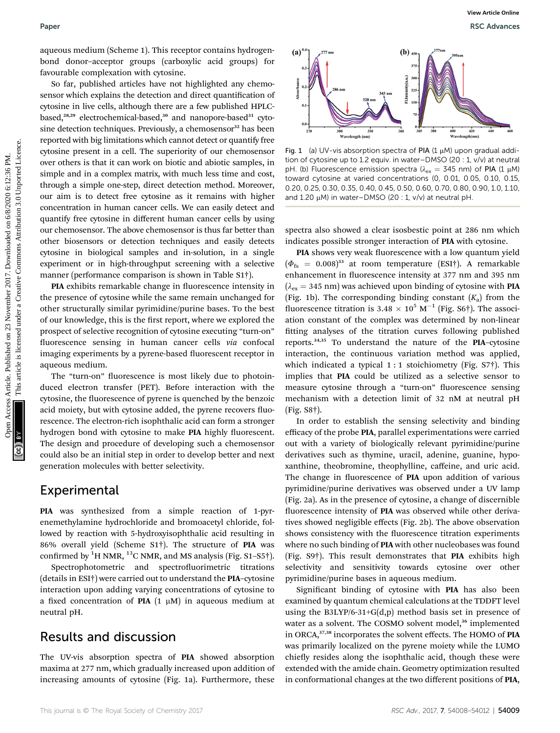aqueous medium (Scheme 1). This receptor contains hydrogenbond donor–acceptor groups (carboxylic acid groups) for favourable complexation with cytosine.

So far, published articles have not highlighted any chemosensor which explains the detection and direct quantification of cytosine in live cells, although there are a few published HPLCbased,<sup>28,29</sup> electrochemical-based,<sup>30</sup> and nanopore-based<sup>31</sup> cytosine detection techniques. Previously, a chemosensor<sup>32</sup> has been reported with big limitations which cannot detect or quantify free cytosine present in a cell. The superiority of our chemosensor over others is that it can work on biotic and abiotic samples, in simple and in a complex matrix, with much less time and cost, through a simple one-step, direct detection method. Moreover, our aim is to detect free cytosine as it remains with higher concentration in human cancer cells. We can easily detect and quantify free cytosine in different human cancer cells by using our chemosensor. The above chemosensor is thus far better than other biosensors or detection techniques and easily detects cytosine in biological samples and in-solution, in a single experiment or in high-throughput screening with a selective manner (performance comparison is shown in Table S1†). Paper Wexter Article control in This recept contains by<br>clays Article 2017.<br>
Since the full published on 2018 of 2018 articles are article in the set of 2018 and 2018 are article in the case, and the common are article in

PIA exhibits remarkable change in fluorescence intensity in the presence of cytosine while the same remain unchanged for other structurally similar pyrimidine/purine bases. To the best of our knowledge, this is the first report, where we explored the prospect of selective recognition of cytosine executing "turn-on" fluorescence sensing in human cancer cells via confocal imaging experiments by a pyrene-based fluorescent receptor in aqueous medium.

The "turn-on" fluorescence is most likely due to photoinduced electron transfer (PET). Before interaction with the cytosine, the fluorescence of pyrene is quenched by the benzoic acid moiety, but with cytosine added, the pyrene recovers fluorescence. The electron-rich isophthalic acid can form a stronger hydrogen bond with cytosine to make PIA highly fluorescent. The design and procedure of developing such a chemosensor could also be an initial step in order to develop better and next generation molecules with better selectivity.

#### Experimental

PIA was synthesized from a simple reaction of 1-pyrenemethylamine hydrochloride and bromoacetyl chloride, followed by reaction with 5-hydroxyisophthalic acid resulting in 86% overall yield (Scheme S1†). The structure of PIA was confirmed by  $^{1}$ H NMR,  $^{13}$ C NMR, and MS analysis (Fig. S1–S5†).

Spectrophotometric and spectrofluorimetric titrations (details in ESI†) were carried out to understand the PIA–cytosine interaction upon adding varying concentrations of cytosine to a fixed concentration of PIA  $(1 \mu M)$  in aqueous medium at neutral pH.

#### Results and discussion

The UV-vis absorption spectra of PIA showed absorption maxima at 277 nm, which gradually increased upon addition of increasing amounts of cytosine (Fig. 1a). Furthermore, these



Fig. 1 (a) UV-vis absorption spectra of PIA (1  $\mu$ M) upon gradual addition of cytosine up to 1.2 equiv. in water–DMSO (20 : 1, v/v) at neutral pH. (b) Fluorescence emission spectra ( $\lambda_{ex} = 345$  nm) of PIA (1  $\mu$ M) toward cytosine at varied concentrations (0, 0.01, 0.05, 0.10, 0.15, 0.20, 0.25, 0.30, 0.35, 0.40, 0.45, 0.50, 0.60, 0.70, 0.80, 0.90, 1.0, 1.10, and 1.20  $\mu$ M) in water–DMSO (20 : 1, v/v) at neutral pH.

spectra also showed a clear isosbestic point at 286 nm which indicates possible stronger interaction of PIA with cytosine.

PIA shows very weak fluorescence with a low quantum yield  $(\Phi_{fs} = 0.008)^{33}$  at room temperature (ESI†). A remarkable enhancement in fluorescence intensity at 377 nm and 395 nm  $(\lambda_{\rm ex} = 345 \text{ nm})$  was achieved upon binding of cytosine with PIA (Fig. 1b). The corresponding binding constant  $(K_a)$  from the fluorescence titration is  $3.48 \times 10^5$  M<sup>-1</sup> (Fig. S6†). The association constant of the complex was determined by non-linear fitting analyses of the titration curves following published reports.34,35 To understand the nature of the PIA–cytosine interaction, the continuous variation method was applied, which indicated a typical  $1:1$  stoichiometry (Fig. S7†). This implies that PIA could be utilized as a selective sensor to measure cytosine through a "turn-on" fluorescence sensing mechanism with a detection limit of 32 nM at neutral pH (Fig. S8†).

In order to establish the sensing selectivity and binding efficacy of the probe PIA, parallel experimentations were carried out with a variety of biologically relevant pyrimidine/purine derivatives such as thymine, uracil, adenine, guanine, hypoxanthine, theobromine, theophylline, caffeine, and uric acid. The change in fluorescence of PIA upon addition of various pyrimidine/purine derivatives was observed under a UV lamp (Fig. 2a). As in the presence of cytosine, a change of discernible fluorescence intensity of PIA was observed while other derivatives showed negligible effects (Fig. 2b). The above observation shows consistency with the fluorescence titration experiments where no such binding of PIA with other nucleobases was found (Fig. S9†). This result demonstrates that PIA exhibits high selectivity and sensitivity towards cytosine over other pyrimidine/purine bases in aqueous medium.

Significant binding of cytosine with PIA has also been examined by quantum chemical calculations at the TDDFT level using the B3LYP/6-31+G(d,p) method basis set in presence of water as a solvent. The COSMO solvent model,<sup>36</sup> implemented in ORCA,<sup>37,38</sup> incorporates the solvent effects. The HOMO of PIA was primarily localized on the pyrene moiety while the LUMO chiefly resides along the isophthalic acid, though these were extended with the amide chain. Geometry optimization resulted in conformational changes at the two different positions of PIA,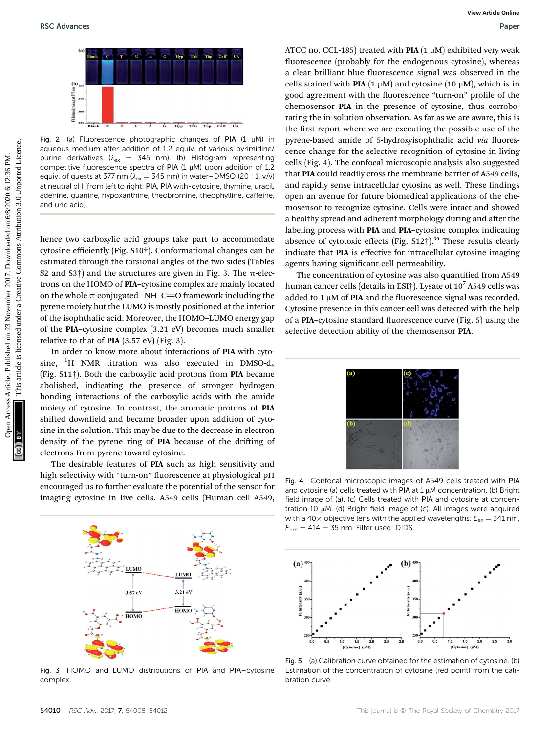

Fig. 2 (a) Fluorescence photographic changes of PIA  $(1 \mu M)$  in aqueous medium after addition of 1.2 equiv. of various pyrimidine/ purine derivatives ( $\lambda_{\rm ex}$  = 345 nm). (b) Histogram representing competitive fluorescence spectra of PIA (1  $\mu$ M) upon addition of 1.2 equiv. of guests at 377 nm ( $\lambda_{ex} = 345$  nm) in water–DMSO (20 : 1, v/v) at neutral pH [from left to right: PIA, PIA with-cytosine, thymine, uracil, adenine, guanine, hypoxanthine, theobromine, theophylline, caffeine, and uric acid].

hence two carboxylic acid groups take part to accommodate cytosine efficiently (Fig. S10†). Conformational changes can be estimated through the torsional angles of the two sides (Tables S2 and S3†) and the structures are given in Fig. 3. The  $\pi$ -electrons on the HOMO of PIA–cytosine complex are mainly located on the whole  $\pi$ -conjugated –NH–C=O framework including the pyrene moiety but the LUMO is mostly positioned at the interior of the isophthalic acid. Moreover, the HOMO–LUMO energy gap of the PIA–cytosine complex (3.21 eV) becomes much smaller relative to that of **PIA**  $(3.57 \text{ eV})$  (Fig. 3).

In order to know more about interactions of PIA with cytosine,  ${}^{1}H$  NMR titration was also executed in DMSO- $d_6$ (Fig. S11†). Both the carboxylic acid protons from PIA became abolished, indicating the presence of stronger hydrogen bonding interactions of the carboxylic acids with the amide moiety of cytosine. In contrast, the aromatic protons of PIA shifted downfield and became broader upon addition of cytosine in the solution. This may be due to the decrease in electron density of the pyrene ring of **PIA** because of the drifting of electrons from pyrene toward cytosine.

The desirable features of PIA such as high sensitivity and high selectivity with "turn-on" fluorescence at physiological pH encouraged us to further evaluate the potential of the sensor for imaging cytosine in live cells. A549 cells (Human cell A549,



Fig. 3 HOMO and LUMO distributions of PIA and PIA–cytosine complex.

ATCC no. CCL-185) treated with PIA  $(1 \mu M)$  exhibited very weak fluorescence (probably for the endogenous cytosine), whereas a clear brilliant blue fluorescence signal was observed in the cells stained with PIA (1  $\mu$ M) and cytosine (10  $\mu$ M), which is in good agreement with the fluorescence "turn-on" profile of the chemosensor PIA in the presence of cytosine, thus corroborating the in-solution observation. As far as we are aware, this is the first report where we are executing the possible use of the pyrene-based amide of 5-hydroxyisophthalic acid via fluorescence change for the selective recognition of cytosine in living cells (Fig. 4). The confocal microscopic analysis also suggested that PIA could readily cross the membrane barrier of A549 cells, and rapidly sense intracellular cytosine as well. These findings open an avenue for future biomedical applications of the chemosensor to recognize cytosine. Cells were intact and showed a healthy spread and adherent morphology during and after the labeling process with PIA and PIA–cytosine complex indicating absence of cytotoxic effects (Fig. S12†).<sup>39</sup> These results clearly indicate that PIA is effective for intracellular cytosine imaging agents having significant cell permeability. **EXAMPARES**<br>
This article is an extended on 23 NOVEM CHAN (100) and growther (10 <sub>10</sub>00), which is the properties are equivalent with the first term of product the extent is licensed under a first one we are extent in one

The concentration of cytosine was also quantified from A549 human cancer cells (details in ESI†). Lysate of  $10^7$  A549 cells was added to 1  $\mu$ M of PIA and the fluorescence signal was recorded. Cytosine presence in this cancer cell was detected with the help of a PIA-cytosine standard fluorescence curve (Fig. 5) using the selective detection ability of the chemosensor PIA.



Fig. 4 Confocal microscopic images of A549 cells treated with PIA and cytosine (a) cells treated with PIA at  $1 \mu$ M concentration. (b) Bright field image of (a). (c) Cells treated with PIA and cytosine at concentration 10  $\mu$ M. (d) Bright field image of (c). All images were acquired with a 40 $\times$  objective lens with the applied wavelengths:  $E_{\rm ex}$  = 341 nm,  $E_{\text{em}} = 414 \pm 35$  nm. Filter used: DIDS.



Fig. 5 (a) Calibration curve obtained for the estimation of cytosine. (b) Estimation of the concentration of cytosine (red point) from the calibration curve.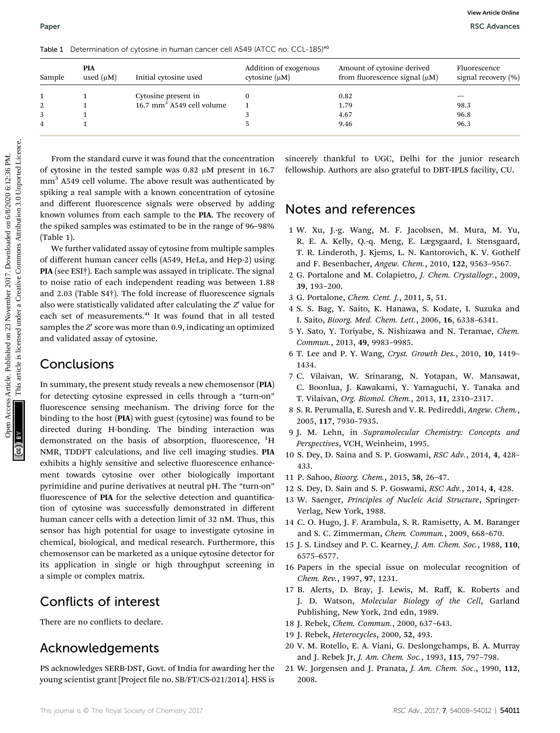| Sample              | PIA<br>used $(\mu M)$            | Initial cytosine used                                                                                                                                                                                                                                                                                                                                                                                                                                                                                                                                                                                                                                                                                                                                                | Addition of exogenous<br>cytosine $(\mu M)$ |                                | Amount of cytosine derived<br>from fluorescence signal $(\mu M)$                                                                                                                                                                                                                                                                                                                                                                                                                                                                                                                                                                                                              | Fluorescence<br>signal recovery (%) |
|---------------------|----------------------------------|----------------------------------------------------------------------------------------------------------------------------------------------------------------------------------------------------------------------------------------------------------------------------------------------------------------------------------------------------------------------------------------------------------------------------------------------------------------------------------------------------------------------------------------------------------------------------------------------------------------------------------------------------------------------------------------------------------------------------------------------------------------------|---------------------------------------------|--------------------------------|-------------------------------------------------------------------------------------------------------------------------------------------------------------------------------------------------------------------------------------------------------------------------------------------------------------------------------------------------------------------------------------------------------------------------------------------------------------------------------------------------------------------------------------------------------------------------------------------------------------------------------------------------------------------------------|-------------------------------------|
| 1                   | 1                                | Cytosine present in                                                                                                                                                                                                                                                                                                                                                                                                                                                                                                                                                                                                                                                                                                                                                  | 0                                           |                                | 0.82                                                                                                                                                                                                                                                                                                                                                                                                                                                                                                                                                                                                                                                                          |                                     |
| $\overline{2}$      | $\mathbf{1}$                     | 16.7 mm <sup>3</sup> A549 cell volume                                                                                                                                                                                                                                                                                                                                                                                                                                                                                                                                                                                                                                                                                                                                | $\mathbf{1}$                                |                                | 1.79                                                                                                                                                                                                                                                                                                                                                                                                                                                                                                                                                                                                                                                                          | 98.3                                |
| 3<br>$\overline{4}$ | $\mathbf{1}$<br>$\mathbf{1}$     |                                                                                                                                                                                                                                                                                                                                                                                                                                                                                                                                                                                                                                                                                                                                                                      | 3<br>5                                      |                                | 4.67<br>9.46                                                                                                                                                                                                                                                                                                                                                                                                                                                                                                                                                                                                                                                                  | 96.8<br>96.3                        |
|                     |                                  | From the standard curve it was found that the concentration<br>of cytosine in the tested sample was 0.82 $\mu$ M present in 16.7<br>mm <sup>3</sup> A549 cell volume. The above result was authenticated by                                                                                                                                                                                                                                                                                                                                                                                                                                                                                                                                                          |                                             |                                | sincerely thankful to UGC, Delhi for the junior research<br>fellowship. Authors are also grateful to DBT-IPLS facility, CU.                                                                                                                                                                                                                                                                                                                                                                                                                                                                                                                                                   |                                     |
| (Table 1).          | and validated assay of cytosine. | and different fluorescence signals were observed by adding<br>known volumes from each sample to the PIA. The recovery of<br>the spiked samples was estimated to be in the range of 96-98%<br>We further validated assay of cytosine from multiple samples<br>of different human cancer cells (A549, HeLa, and Hep-2) using<br>PIA (see ESI†). Each sample was assayed in triplicate. The signal<br>to noise ratio of each independent reading was between 1.88<br>and 2.03 (Table S4 <sup>†</sup> ). The fold increase of fluorescence signals<br>also were statistically validated after calculating the Z' value for<br>each set of measurements. <sup>41</sup> It was found that in all tested<br>samples the Z' score was more than 0.9, indicating an optimized |                                             | 39, 193-200.                   | Notes and references<br>1 W. Xu, J.-g. Wang, M. F. Jacobsen, M. Mura, M. Yu,<br>R. E. A. Kelly, Q.-q. Meng, E. Lægsgaard, I. Stensgaard,<br>T. R. Linderoth, J. Kjems, L. N. Kantorovich, K. V. Gothelf<br>and F. Besenbacher, Angew. Chem., 2010, 122, 9563-9567.<br>2 G. Portalone and M. Colapietro, J. Chem. Crystallogr., 2009,<br>3 G. Portalone, Chem. Cent. J., 2011, 5, 51.<br>4 S. S. Bag, Y. Saito, K. Hanawa, S. Kodate, I. Suzuka and<br>I. Saito, Bioorg. Med. Chem. Lett., 2006, 16, 6338-6341.<br>5 Y. Sato, Y. Toriyabe, S. Nishizawa and N. Teramae, Chem.<br>Commun., 2013, 49, 9983-9985.<br>6 T. Lee and P. Y. Wang, Cryst. Growth Des., 2010, 10, 1419- |                                     |
|                     | Conclusions                      | In summary, the present study reveals a new chemosensor (PIA)<br>for detecting cytosine expressed in cells through a "turn-on"<br>fluorescence sensing mechanism. The driving force for the<br>binding to the host (PIA) with guest (cytosine) was found to be<br>directed during H-bonding. The binding interaction was                                                                                                                                                                                                                                                                                                                                                                                                                                             |                                             | 1434.<br>2005, 117, 7930-7935. | 7 C. Vilaivan, W. Srinarang, N. Yotapan, W. Mansawat,<br>C. Boonlua, J. Kawakami, Y. Yamaguchi, Y. Tanaka and<br>T. Vilaivan, Org. Biomol. Chem., 2013, 11, 2310-2317.<br>8 S. R. Perumalla, E. Suresh and V. R. Pedireddi, Angew. Chem.,<br>9 J. M. Lehn, in Supramolecular Chemistry: Concepts and                                                                                                                                                                                                                                                                                                                                                                          |                                     |

#### Conclusions

In summary, the present study reveals a new chemosensor (PIA) for detecting cytosine expressed in cells through a "turn-on" fluorescence sensing mechanism. The driving force for the binding to the host (PIA) with guest (cytosine) was found to be directed during H-bonding. The binding interaction was demonstrated on the basis of absorption, fluorescence, <sup>1</sup>H NMR, TDDFT calculations, and live cell imaging studies. PIA exhibits a highly sensitive and selective fluorescence enhancement towards cytosine over other biologically important pyrimidine and purine derivatives at neutral pH. The "turn-on" fluorescence of PIA for the selective detection and quantification of cytosine was successfully demonstrated in different human cancer cells with a detection limit of 32 nM. Thus, this sensor has high potential for usage to investigate cytosine in chemical, biological, and medical research. Furthermore, this chemosensor can be marketed as a unique cytosine detector for its application in single or high throughput screening in a simple or complex matrix.

### Conflicts of interest

There are no conflicts to declare.

### Acknowledgements

PS acknowledges SERB-DST, Govt. of India for awarding her the young scientist grant [Project file no. SB/FT/CS-021/2014]. HSS is

#### Notes and references

- 1 W. Xu, J.-g. Wang, M. F. Jacobsen, M. Mura, M. Yu, R. E. A. Kelly, Q.-q. Meng, E. Lægsgaard, I. Stensgaard, T. R. Linderoth, J. Kjems, L. N. Kantorovich, K. V. Gothelf and F. Besenbacher, Angew. Chem., 2010, 122, 9563–9567.
- 2 G. Portalone and M. Colapietro, J. Chem. Crystallogr., 2009, 39, 193–200.
- 3 G. Portalone, Chem. Cent. J., 2011, 5, 51.
- 4 S. S. Bag, Y. Saito, K. Hanawa, S. Kodate, I. Suzuka and I. Saito, Bioorg. Med. Chem. Lett., 2006, 16, 6338–6341.
- 5 Y. Sato, Y. Toriyabe, S. Nishizawa and N. Teramae, Chem. Commun., 2013, 49, 9983–9985.
- 6 T. Lee and P. Y. Wang, Cryst. Growth Des., 2010, 10, 1419– 1434.
- 7 C. Vilaivan, W. Srinarang, N. Yotapan, W. Mansawat, C. Boonlua, J. Kawakami, Y. Yamaguchi, Y. Tanaka and T. Vilaivan, Org. Biomol. Chem., 2013, 11, 2310–2317.
- 8 S. R. Perumalla, E. Suresh and V. R. Pedireddi, Angew. Chem., 2005, 117, 7930–7935.
- 9 J. M. Lehn, in Supramolecular Chemistry: Concepts and Perspectives, VCH, Weinheim, 1995.
- 10 S. Dey, D. Saina and S. P. Goswami, RSC Adv., 2014, 4, 428– 433.
- 11 P. Sahoo, Bioorg. Chem., 2015, 58, 26–47.
- 12 S. Dey, D. Sain and S. P. Goswami, RSC Adv., 2014, 4, 428.
- 13 W. Saenger, Principles of Nucleic Acid Structure, Springer-Verlag, New York, 1988.
- 14 C. O. Hugo, J. F. Arambula, S. R. Ramisetty, A. M. Baranger and S. C. Zimmerman, Chem. Commun., 2009, 668–670.
- 15 J. S. Lindsey and P. C. Kearney, J. Am. Chem. Soc., 1988, 110, 6575–6577.
- 16 Papers in the special issue on molecular recognition of Chem. Rev., 1997, 97, 1231.
- 17 B. Alerts, D. Bray, J. Lewis, M. Raff, K. Roberts and J. D. Watson, Molecular Biology of the Cell, Garland Publishing, New York, 2nd edn, 1989.
- 18 J. Rebek, Chem. Commun., 2000, 637–643.
- 19 J. Rebek, Heterocycles, 2000, 52, 493.
- 20 V. M. Rotello, E. A. Viani, G. Deslongchamps, B. A. Murray and J. Rebek Jr, J. Am. Chem. Soc., 1993, 115, 797–798.
- 21 W. Jorgensen and J. Pranata, J. Am. Chem. Soc., 1990, 112, 2008.